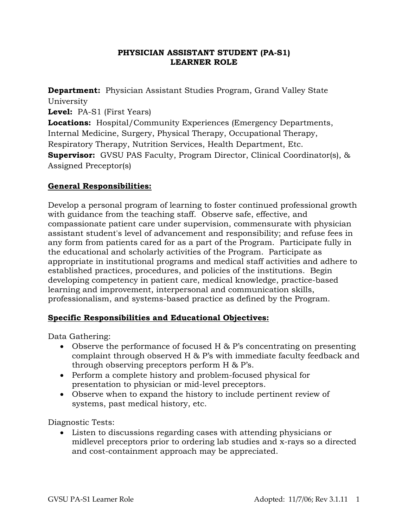## **PHYSICIAN ASSISTANT STUDENT (PA-S1) LEARNER ROLE**

**Department:** Physician Assistant Studies Program, Grand Valley State University **Level:** PA-S1 (First Years) **Locations:** Hospital/Community Experiences (Emergency Departments, Internal Medicine, Surgery, Physical Therapy, Occupational Therapy, Respiratory Therapy, Nutrition Services, Health Department, Etc. **Supervisor:** GVSU PAS Faculty, Program Director, Clinical Coordinator(s), & Assigned Preceptor(s)

# **General Responsibilities:**

Develop a personal program of learning to foster continued professional growth with guidance from the teaching staff. Observe safe, effective, and compassionate patient care under supervision, commensurate with physician assistant student's level of advancement and responsibility; and refuse fees in any form from patients cared for as a part of the Program. Participate fully in the educational and scholarly activities of the Program. Participate as appropriate in institutional programs and medical staff activities and adhere to established practices, procedures, and policies of the institutions. Begin developing competency in patient care, medical knowledge, practice-based learning and improvement, interpersonal and communication skills, professionalism, and systems-based practice as defined by the Program.

## **Specific Responsibilities and Educational Objectives:**

Data Gathering:

- Observe the performance of focused H & P's concentrating on presenting complaint through observed H & P's with immediate faculty feedback and through observing preceptors perform H & P's.
- Perform a complete history and problem-focused physical for presentation to physician or mid-level preceptors.
- Observe when to expand the history to include pertinent review of systems, past medical history, etc.

Diagnostic Tests:

 Listen to discussions regarding cases with attending physicians or midlevel preceptors prior to ordering lab studies and x-rays so a directed and cost-containment approach may be appreciated.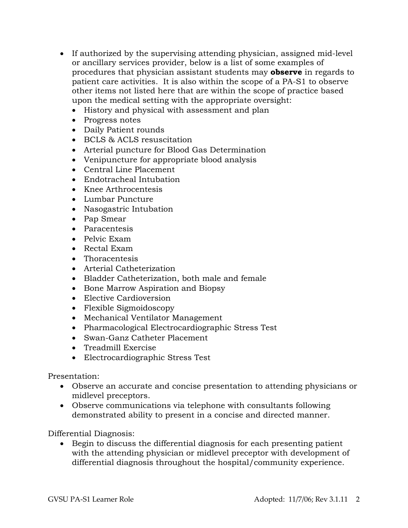- If authorized by the supervising attending physician, assigned mid-level or ancillary services provider, below is a list of some examples of procedures that physician assistant students may **observe** in regards to patient care activities. It is also within the scope of a PA-S1 to observe other items not listed here that are within the scope of practice based upon the medical setting with the appropriate oversight:
	- History and physical with assessment and plan
	- Progress notes
	- Daily Patient rounds
	- BCLS & ACLS resuscitation
	- Arterial puncture for Blood Gas Determination
	- Venipuncture for appropriate blood analysis
	- Central Line Placement
	- Endotracheal Intubation
	- Knee Arthrocentesis
	- Lumbar Puncture
	- Nasogastric Intubation
	- Pap Smear
	- Paracentesis
	- Pelvic Exam
	- Rectal Exam
	- Thoracentesis
	- Arterial Catheterization
	- Bladder Catheterization, both male and female
	- Bone Marrow Aspiration and Biopsy
	- Elective Cardioversion
	- Flexible Sigmoidoscopy
	- Mechanical Ventilator Management
	- Pharmacological Electrocardiographic Stress Test
	- Swan-Ganz Catheter Placement
	- Treadmill Exercise
	- Electrocardiographic Stress Test

#### Presentation:

- Observe an accurate and concise presentation to attending physicians or midlevel preceptors.
- Observe communications via telephone with consultants following demonstrated ability to present in a concise and directed manner.

#### Differential Diagnosis:

 Begin to discuss the differential diagnosis for each presenting patient with the attending physician or midlevel preceptor with development of differential diagnosis throughout the hospital/community experience.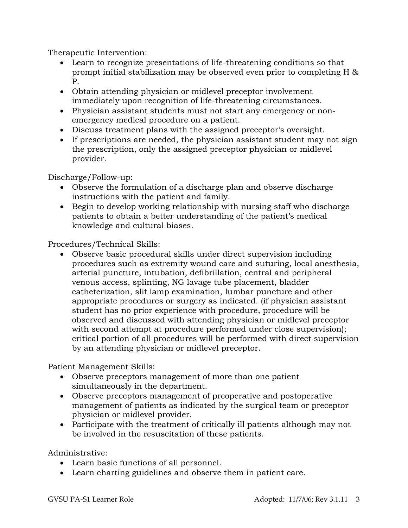Therapeutic Intervention:

- Learn to recognize presentations of life-threatening conditions so that prompt initial stabilization may be observed even prior to completing H & P.
- Obtain attending physician or midlevel preceptor involvement immediately upon recognition of life-threatening circumstances.
- Physician assistant students must not start any emergency or nonemergency medical procedure on a patient.
- Discuss treatment plans with the assigned preceptor's oversight.
- If prescriptions are needed, the physician assistant student may not sign the prescription, only the assigned preceptor physician or midlevel provider.

Discharge/Follow-up:

- Observe the formulation of a discharge plan and observe discharge instructions with the patient and family.
- Begin to develop working relationship with nursing staff who discharge patients to obtain a better understanding of the patient's medical knowledge and cultural biases.

Procedures/Technical Skills:

 Observe basic procedural skills under direct supervision including procedures such as extremity wound care and suturing, local anesthesia, arterial puncture, intubation, defibrillation, central and peripheral venous access, splinting, NG lavage tube placement, bladder catheterization, slit lamp examination, lumbar puncture and other appropriate procedures or surgery as indicated. (if physician assistant student has no prior experience with procedure, procedure will be observed and discussed with attending physician or midlevel preceptor with second attempt at procedure performed under close supervision); critical portion of all procedures will be performed with direct supervision by an attending physician or midlevel preceptor.

Patient Management Skills:

- Observe preceptors management of more than one patient simultaneously in the department.
- Observe preceptors management of preoperative and postoperative management of patients as indicated by the surgical team or preceptor physician or midlevel provider.
- Participate with the treatment of critically ill patients although may not be involved in the resuscitation of these patients.

Administrative:

- Learn basic functions of all personnel.
- Learn charting guidelines and observe them in patient care.